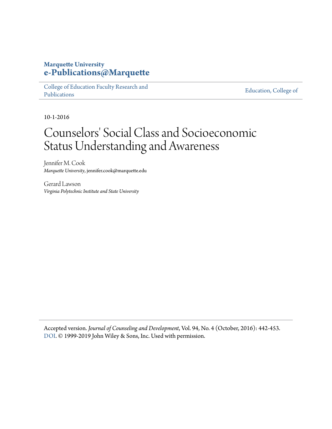## **Marquette University [e-Publications@Marquette](https://epublications.marquette.edu)**

[College of Education Faculty Research and](https://epublications.marquette.edu/edu_fac) [Publications](https://epublications.marquette.edu/edu_fac)

[Education, College of](https://epublications.marquette.edu/education)

10-1-2016

## Counselors' Social Class and Socioeconomic Status Understanding and Awareness

Jennifer M. Cook *Marquette University*, jennifer.cook@marquette.edu

Gerard Lawson *Virginia Polytechnic Institute and State University*

Accepted version. *Journal of Counseling and Development*, Vol. 94, No. 4 (October, 2016): 442-453. [DOI](http://dx.doi.org/10.1002/jcad.12103). © 1999-2019 John Wiley & Sons, Inc. Used with permission.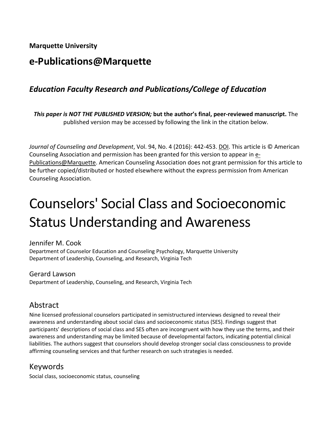**Marquette University**

## **e-Publications@Marquette**

## *Education Faculty Research and Publications/College of Education*

*This paper is NOT THE PUBLISHED VERSION;* **but the author's final, peer-reviewed manuscript.** The published version may be accessed by following the link in the citation below.

*Journal of Counseling and Development*, Vol. 94, No. 4 (2016): 442-453. DOI. This article is © American Counseling Association and permission has been granted for this version to appear in [e-](http://epublications.marquette.edu/)[Publications@Marquette.](http://epublications.marquette.edu/) American Counseling Association does not grant permission for this article to be further copied/distributed or hosted elsewhere without the express permission from American Counseling Association.

# Counselors' Social Class and Socioeconomic Status Understanding and Awareness

Jennifer M. Cook

Department of Counselor Education and Counseling Psychology, Marquette University Department of Leadership, Counseling, and Research, Virginia Tech

Gerard Lawson

Department of Leadership, Counseling, and Research, Virginia Tech

#### Abstract

Nine licensed professional counselors participated in semistructured interviews designed to reveal their awareness and understanding about social class and socioeconomic status (SES). Findings suggest that participants' descriptions of social class and SES often are incongruent with how they use the terms, and their awareness and understanding may be limited because of developmental factors, indicating potential clinical liabilities. The authors suggest that counselors should develop stronger social class consciousness to provide affirming counseling services and that further research on such strategies is needed.

## Keywords

Social class, socioeconomic status, counseling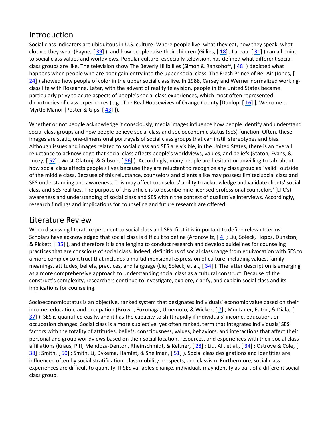## Introduction

Social class indicators are ubiquitous in U.S. culture: Where people live, what they eat, how they speak, what clothes they wear (Payne,  $[39]$  $[39]$ ), and how people raise their children (Gillies,  $[18]$  $[18]$ ; Lareau,  $[31]$  $[31]$ ) can all point to social class values and worldviews. Popular culture, especially television, has defined what different social class groups are like. The television show The Beverly Hillbillies (Simon & Ransohoff, [ [48\]](https://0-web-a-ebscohost-com.libus.csd.mu.edu/ehost/detail/detail?vid=5&sid=97acbd83-f855-4a65-80d9-761605a35b41%40sessionmgr4006&bdata=JnNpdGU9ZWhvc3QtbGl2ZQ%3d%3d#bib48) ) depicted what happens when people who are poor gain entry into the upper social class. The Fresh Prince of Bel-Air (Jones, [ [24\]](https://0-web-a-ebscohost-com.libus.csd.mu.edu/ehost/detail/detail?vid=5&sid=97acbd83-f855-4a65-80d9-761605a35b41%40sessionmgr4006&bdata=JnNpdGU9ZWhvc3QtbGl2ZQ%3d%3d#bib24) ) showed how people of color in the upper social class live. In 1988, Carsey and Werner normalized workingclass life with Roseanne. Later, with the advent of reality television, people in the United States became particularly privy to acute aspects of people's social class experiences, which most often represented dichotomies of class experiences (e.g., The Real Housewives of Orange County [Dunlop, [ [16\]](https://0-web-a-ebscohost-com.libus.csd.mu.edu/ehost/detail/detail?vid=5&sid=97acbd83-f855-4a65-80d9-761605a35b41%40sessionmgr4006&bdata=JnNpdGU9ZWhvc3QtbGl2ZQ%3d%3d#bib16) ], Welcome to Myrtle Manor [Poster & Gips, [ [43\]](https://0-web-a-ebscohost-com.libus.csd.mu.edu/ehost/detail/detail?vid=5&sid=97acbd83-f855-4a65-80d9-761605a35b41%40sessionmgr4006&bdata=JnNpdGU9ZWhvc3QtbGl2ZQ%3d%3d#bib43) ]).

Whether or not people acknowledge it consciously, media images influence how people identify and understand social class groups and how people believe social class and socioeconomic status (SES) function. Often, these images are static, one-dimensional portrayals of social class groups that can instill stereotypes and bias. Although issues and images related to social class and SES are visible, in the United States, there is an overall reluctance to acknowledge that social class affects people's worldviews, values, and beliefs (Staton, Evans, & Lucey, [[52\]](https://0-web-a-ebscohost-com.libus.csd.mu.edu/ehost/detail/detail?vid=5&sid=97acbd83-f855-4a65-80d9-761605a35b41%40sessionmgr4006&bdata=JnNpdGU9ZWhvc3QtbGl2ZQ%3d%3d#bib52); West-Olatunji & Gibson, [[56\]](https://0-web-a-ebscohost-com.libus.csd.mu.edu/ehost/detail/detail?vid=5&sid=97acbd83-f855-4a65-80d9-761605a35b41%40sessionmgr4006&bdata=JnNpdGU9ZWhvc3QtbGl2ZQ%3d%3d#bib56)). Accordingly, many people are hesitant or unwilling to talk about how social class affects people's lives because they are reluctant to recognize any class group as "valid" outside of the middle class. Because of this reluctance, counselors and clients alike may possess limited social class and SES understanding and awareness. This may affect counselors' ability to acknowledge and validate clients' social class and SES realities. The purpose of this article is to describe nine licensed professional counselors' (LPC's) awareness and understanding of social class and SES within the context of qualitative interviews. Accordingly, research findings and implications for counseling and future research are offered.

## Literature Review

When discussing literature pertinent to social class and SES, first it is important to define relevant terms. Scholars have acknowledged that social class is difficult to define (Aronowitz,  $[4]$  $[4]$ ; Liu, Soleck, Hopps, Dunston, & Pickett, [ [35\]](https://0-web-a-ebscohost-com.libus.csd.mu.edu/ehost/detail/detail?vid=5&sid=97acbd83-f855-4a65-80d9-761605a35b41%40sessionmgr4006&bdata=JnNpdGU9ZWhvc3QtbGl2ZQ%3d%3d#bib35) ), and therefore it is challenging to conduct research and develop guidelines for counseling practices that are conscious of social class. Indeed, definitions of social class range from equivocation with SES to a more complex construct that includes a multidimensional expression of culture, including values, family meanings, attitudes, beliefs, practices, and language (Liu, Soleck, et al., [ [34\]](https://0-web-a-ebscohost-com.libus.csd.mu.edu/ehost/detail/detail?vid=5&sid=97acbd83-f855-4a65-80d9-761605a35b41%40sessionmgr4006&bdata=JnNpdGU9ZWhvc3QtbGl2ZQ%3d%3d#bib34) ). The latter description is emerging as a more comprehensive approach to understanding social class as a cultural construct. Because of the construct's complexity, researchers continue to investigate, explore, clarify, and explain social class and its implications for counseling.

Socioeconomic status is an objective, ranked system that designates individuals' economic value based on their income, education, and occupation (Brown, Fukunaga, Umemoto, & Wicker, [ [7\]](https://0-web-a-ebscohost-com.libus.csd.mu.edu/ehost/detail/detail?vid=5&sid=97acbd83-f855-4a65-80d9-761605a35b41%40sessionmgr4006&bdata=JnNpdGU9ZWhvc3QtbGl2ZQ%3d%3d#bib7) ; Muntaner, Eaton, & Diala, [ [37\]](https://0-web-a-ebscohost-com.libus.csd.mu.edu/ehost/detail/detail?vid=5&sid=97acbd83-f855-4a65-80d9-761605a35b41%40sessionmgr4006&bdata=JnNpdGU9ZWhvc3QtbGl2ZQ%3d%3d#bib37) ). SES is quantified easily, and it has the capacity to shift rapidly if individuals' income, education, or occupation changes. Social class is a more subjective, yet often ranked, term that integrates individuals' SES factors with the totality of attitudes, beliefs, consciousness, values, behaviors, and interactions that affect their personal and group worldviews based on their social location, resources, and experiences with their social class affiliations (Kraus, Piff, Mendoza-Denton, Rheinschmidt, & Keltner, [ [28\]](https://0-web-a-ebscohost-com.libus.csd.mu.edu/ehost/detail/detail?vid=5&sid=97acbd83-f855-4a65-80d9-761605a35b41%40sessionmgr4006&bdata=JnNpdGU9ZWhvc3QtbGl2ZQ%3d%3d#bib28) ; Liu, Ali, et al., [ [34\]](https://0-web-a-ebscohost-com.libus.csd.mu.edu/ehost/detail/detail?vid=5&sid=97acbd83-f855-4a65-80d9-761605a35b41%40sessionmgr4006&bdata=JnNpdGU9ZWhvc3QtbGl2ZQ%3d%3d#bib34) ; Ostrove & Cole, [ [38\]](https://0-web-a-ebscohost-com.libus.csd.mu.edu/ehost/detail/detail?vid=5&sid=97acbd83-f855-4a65-80d9-761605a35b41%40sessionmgr4006&bdata=JnNpdGU9ZWhvc3QtbGl2ZQ%3d%3d#bib38) ; Smith, [ [50\]](https://0-web-a-ebscohost-com.libus.csd.mu.edu/ehost/detail/detail?vid=5&sid=97acbd83-f855-4a65-80d9-761605a35b41%40sessionmgr4006&bdata=JnNpdGU9ZWhvc3QtbGl2ZQ%3d%3d#bib50) ; Smith, Li, Dykema, Hamlet, & Shellman, [ [51\]](https://0-web-a-ebscohost-com.libus.csd.mu.edu/ehost/detail/detail?vid=5&sid=97acbd83-f855-4a65-80d9-761605a35b41%40sessionmgr4006&bdata=JnNpdGU9ZWhvc3QtbGl2ZQ%3d%3d#bib51) ). Social class designations and identities are influenced often by social stratification, class mobility prospects, and classism. Furthermore, social class experiences are difficult to quantify. If SES variables change, individuals may identify as part of a different social class group.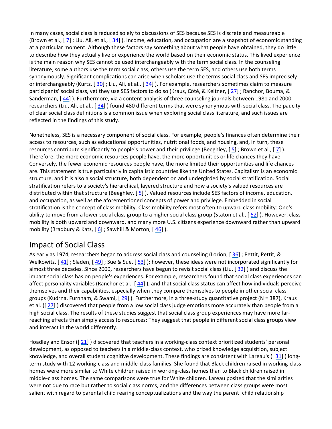In many cases, social class is reduced solely to discussions of SES because SES is discrete and measureable (Brown et al.,  $[7]$  $[7]$ ; Liu, Ali, et al.,  $[34]$  $[34]$ ). Income, education, and occupation are a snapshot of economic standing at a particular moment. Although these factors say something about what people have obtained, they do little to describe how they actually live or experience the world based on their economic status. This lived experience is the main reason why SES cannot be used interchangeably with the term social class. In the counseling literature, some authors use the term social class, others use the term SES, and others use both terms synonymously. Significant complications can arise when scholars use the terms social class and SES imprecisely or interchangeably (Kurtz, [[30\]](https://0-web-a-ebscohost-com.libus.csd.mu.edu/ehost/detail/detail?vid=5&sid=97acbd83-f855-4a65-80d9-761605a35b41%40sessionmgr4006&bdata=JnNpdGU9ZWhvc3QtbGl2ZQ%3d%3d#bib30); Liu, Ali, et al., [[34\]](https://0-web-a-ebscohost-com.libus.csd.mu.edu/ehost/detail/detail?vid=5&sid=97acbd83-f855-4a65-80d9-761605a35b41%40sessionmgr4006&bdata=JnNpdGU9ZWhvc3QtbGl2ZQ%3d%3d#bib34)). For example, researchers sometimes claim to measure participants' social class, yet they use SES factors to do so (Kraus, Côté, & Keltner, [ [27\]](https://0-web-a-ebscohost-com.libus.csd.mu.edu/ehost/detail/detail?vid=5&sid=97acbd83-f855-4a65-80d9-761605a35b41%40sessionmgr4006&bdata=JnNpdGU9ZWhvc3QtbGl2ZQ%3d%3d#bib27) ; Ranchor, Bouma, & Sanderman, [ [44\]](https://0-web-a-ebscohost-com.libus.csd.mu.edu/ehost/detail/detail?vid=5&sid=97acbd83-f855-4a65-80d9-761605a35b41%40sessionmgr4006&bdata=JnNpdGU9ZWhvc3QtbGl2ZQ%3d%3d#bib44) ). Furthermore, via a content analysis of three counseling journals between 1981 and 2000, researchers (Liu, Ali, et al.,  $[34]$  $[34]$ ) found 480 different terms that were synonymous with social class. The paucity of clear social class definitions is a common issue when exploring social class literature, and such issues are reflected in the findings of this study.

Nonetheless, SES is a necessary component of social class. For example, people's finances often determine their access to resources, such as educational opportunities, nutritional foods, and housing, and, in turn, these resources contribute significantly to people's power and their privilege (Beeghley, [ [5\]](https://0-web-a-ebscohost-com.libus.csd.mu.edu/ehost/detail/detail?vid=5&sid=97acbd83-f855-4a65-80d9-761605a35b41%40sessionmgr4006&bdata=JnNpdGU9ZWhvc3QtbGl2ZQ%3d%3d#bib5) ; Brown et al., [ [7\]](https://0-web-a-ebscohost-com.libus.csd.mu.edu/ehost/detail/detail?vid=5&sid=97acbd83-f855-4a65-80d9-761605a35b41%40sessionmgr4006&bdata=JnNpdGU9ZWhvc3QtbGl2ZQ%3d%3d#bib7) ). Therefore, the more economic resources people have, the more opportunities or life chances they have. Conversely, the fewer economic resources people have, the more limited their opportunities and life chances are. This statement is true particularly in capitalistic countries like the United States. Capitalism is an economic structure, and it is also a social structure, both dependent on and undergirded by social stratification. Social stratification refers to a society's hierarchical, layered structure and how a society's valued resources are distributed within that structure (Beeghley, [ [5\]](https://0-web-a-ebscohost-com.libus.csd.mu.edu/ehost/detail/detail?vid=5&sid=97acbd83-f855-4a65-80d9-761605a35b41%40sessionmgr4006&bdata=JnNpdGU9ZWhvc3QtbGl2ZQ%3d%3d#bib5) ). Valued resources include SES factors of income, education, and occupation, as well as the aforementioned concepts of power and privilege. Embedded in social stratification is the concept of class mobility. Class mobility refers most often to upward class mobility: One's ability to move from a lower social class group to a higher social class group (Staton et al., [[52\]](https://0-web-a-ebscohost-com.libus.csd.mu.edu/ehost/detail/detail?vid=5&sid=97acbd83-f855-4a65-80d9-761605a35b41%40sessionmgr4006&bdata=JnNpdGU9ZWhvc3QtbGl2ZQ%3d%3d#bib52)). However, class mobility is both upward and downward, and many more U.S. citizens experience downward rather than upward mobility (Bradbury & Katz,  $[6]$  $[6]$ ; Sawhill & Morton,  $[46]$  $[46]$ ).

## Impact of Social Class

As early as 1974, researchers began to address social class and counseling (Lorion, [[36\]](https://0-web-a-ebscohost-com.libus.csd.mu.edu/ehost/detail/detail?vid=5&sid=97acbd83-f855-4a65-80d9-761605a35b41%40sessionmgr4006&bdata=JnNpdGU9ZWhvc3QtbGl2ZQ%3d%3d#bib36); Pettit, Pettit, & Welkowitz, [[41\]](https://0-web-a-ebscohost-com.libus.csd.mu.edu/ehost/detail/detail?vid=5&sid=97acbd83-f855-4a65-80d9-761605a35b41%40sessionmgr4006&bdata=JnNpdGU9ZWhvc3QtbGl2ZQ%3d%3d#bib41); Sladen, [[49\]](https://0-web-a-ebscohost-com.libus.csd.mu.edu/ehost/detail/detail?vid=5&sid=97acbd83-f855-4a65-80d9-761605a35b41%40sessionmgr4006&bdata=JnNpdGU9ZWhvc3QtbGl2ZQ%3d%3d#bib49); Sue & Sue, [[53\]](https://0-web-a-ebscohost-com.libus.csd.mu.edu/ehost/detail/detail?vid=5&sid=97acbd83-f855-4a65-80d9-761605a35b41%40sessionmgr4006&bdata=JnNpdGU9ZWhvc3QtbGl2ZQ%3d%3d#bib53)); however, these ideas were not incorporated significantly for almost three decades. Since 2000, researchers have begun to revisit social class (Liu, [ [32\]](https://0-web-a-ebscohost-com.libus.csd.mu.edu/ehost/detail/detail?vid=5&sid=97acbd83-f855-4a65-80d9-761605a35b41%40sessionmgr4006&bdata=JnNpdGU9ZWhvc3QtbGl2ZQ%3d%3d#bib32) ) and discuss the impact social class has on people's experiences. For example, researchers found that social class experiences can affect personality variables (Ranchor et al.,  $[44]$  $[44]$ ), and that social class status can affect how individuals perceive themselves and their capabilities, especially when they compare themselves to people in other social class groups (Kudrna, Furnham, & Swami, [ [29\]](https://0-web-a-ebscohost-com.libus.csd.mu.edu/ehost/detail/detail?vid=5&sid=97acbd83-f855-4a65-80d9-761605a35b41%40sessionmgr4006&bdata=JnNpdGU9ZWhvc3QtbGl2ZQ%3d%3d#bib29) ). Furthermore, in a three-study quantitative project (N = 387), Kraus et al. ([ [27\]](https://0-web-a-ebscohost-com.libus.csd.mu.edu/ehost/detail/detail?vid=5&sid=97acbd83-f855-4a65-80d9-761605a35b41%40sessionmgr4006&bdata=JnNpdGU9ZWhvc3QtbGl2ZQ%3d%3d#bib27) ) discovered that people from a low social class judge emotions more accurately than people from a high social class. The results of these studies suggest that social class group experiences may have more farreaching effects than simply access to resources: They suggest that people in different social class groups view and interact in the world differently.

Hoadley and Ensor ([ [21\]](https://0-web-a-ebscohost-com.libus.csd.mu.edu/ehost/detail/detail?vid=5&sid=97acbd83-f855-4a65-80d9-761605a35b41%40sessionmgr4006&bdata=JnNpdGU9ZWhvc3QtbGl2ZQ%3d%3d#bib21) ) discovered that teachers in a working-class context prioritized students' personal development, as opposed to teachers in a middle-class context, who prized knowledge acquisition, subject knowledge, and overall student cognitive development. These findings are consistent with Lareau's ( $\left[\frac{31}{21}\right]$ ) longterm study with 12 working-class and middle-class families. She found that Black children raised in working-class homes were more similar to White children raised in working-class homes than to Black children raised in middle-class homes. The same comparisons were true for White children. Lareau posited that the similarities were not due to race but rather to social class norms, and the differences between class groups were most salient with regard to parental child rearing conceptualizations and the way the parent–child relationship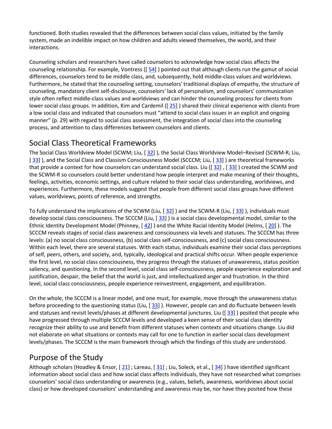functioned. Both studies revealed that the differences between social class values, initiated by the family system, made an indelible impact on how children and adults viewed themselves, the world, and their interactions.

Counseling scholars and researchers have called counselors to acknowledge how social class affects the counseling relationship. For example, Vontress ([ [54\]](https://0-web-a-ebscohost-com.libus.csd.mu.edu/ehost/detail/detail?vid=5&sid=97acbd83-f855-4a65-80d9-761605a35b41%40sessionmgr4006&bdata=JnNpdGU9ZWhvc3QtbGl2ZQ%3d%3d#bib54) ) pointed out that although clients run the gamut of social differences, counselors tend to be middle class, and, subsequently, hold middle-class values and worldviews. Furthermore, he stated that the counseling setting, counselors' traditional displays of empathy, the structure of counseling, mandatory client self-disclosure, counselors' lack of personalism, and counselors' communication style often reflect middle-class values and worldviews and can hinder the counseling process for clients from lower social class groups. In addition, Kim and Cardemil  $(25)$  ) shared their clinical experience with clients from a low social class and indicated that counselors must "attend to social class issues in an explicit and ongoing manner" (p. 29) with regard to social class assessment, the integration of social class into the counseling process, and attention to class differences between counselors and clients.

## Social Class Theoretical Frameworks

The Social Class Worldview Model (SCWM; Liu, [[32\]](https://0-web-a-ebscohost-com.libus.csd.mu.edu/ehost/detail/detail?vid=5&sid=97acbd83-f855-4a65-80d9-761605a35b41%40sessionmgr4006&bdata=JnNpdGU9ZWhvc3QtbGl2ZQ%3d%3d#bib32)), the Social Class Worldview Model-Revised (SCWM-R; Liu, [[33\]](https://0-web-a-ebscohost-com.libus.csd.mu.edu/ehost/detail/detail?vid=5&sid=97acbd83-f855-4a65-80d9-761605a35b41%40sessionmgr4006&bdata=JnNpdGU9ZWhvc3QtbGl2ZQ%3d%3d#bib33)), and the Social Class and Classism Consciousness Model (SCCCM; Liu, [33]) are theoretical frameworks that provide a context for how counselors can understand social class. Liu ( $[32]$  $[32]$ ,  $[33]$  $[33]$ ) created the SCWM and the SCWM-R so counselors could better understand how people interpret and make meaning of their thoughts, feelings, activities, economic settings, and culture related to their social class understanding, worldviews, and experiences. Furthermore, these models suggest that people from different social class groups have different values, worldviews, points of reference, and strengths.

To fully understand the implications of the SCWM (Liu, [ [32\]](https://0-web-a-ebscohost-com.libus.csd.mu.edu/ehost/detail/detail?vid=5&sid=97acbd83-f855-4a65-80d9-761605a35b41%40sessionmgr4006&bdata=JnNpdGU9ZWhvc3QtbGl2ZQ%3d%3d#bib32) ) and the SCWM-R (Liu, [ [33\]](https://0-web-a-ebscohost-com.libus.csd.mu.edu/ehost/detail/detail?vid=5&sid=97acbd83-f855-4a65-80d9-761605a35b41%40sessionmgr4006&bdata=JnNpdGU9ZWhvc3QtbGl2ZQ%3d%3d#bib33) ), individuals must develop social class consciousness. The SCCCM (Liu, [ [33\]](https://0-web-a-ebscohost-com.libus.csd.mu.edu/ehost/detail/detail?vid=5&sid=97acbd83-f855-4a65-80d9-761605a35b41%40sessionmgr4006&bdata=JnNpdGU9ZWhvc3QtbGl2ZQ%3d%3d#bib33) ) is a social class developmental model, similar to the Ethnic Identity Development Model (Phinney, [ [42\]](https://0-web-a-ebscohost-com.libus.csd.mu.edu/ehost/detail/detail?vid=5&sid=97acbd83-f855-4a65-80d9-761605a35b41%40sessionmgr4006&bdata=JnNpdGU9ZWhvc3QtbGl2ZQ%3d%3d#bib42) ) and the White Racial Identity Model (Helms, [ [20\]](https://0-web-a-ebscohost-com.libus.csd.mu.edu/ehost/detail/detail?vid=5&sid=97acbd83-f855-4a65-80d9-761605a35b41%40sessionmgr4006&bdata=JnNpdGU9ZWhvc3QtbGl2ZQ%3d%3d#bib20) ). The SCCCM reveals stages of social class awareness and consciousness via levels and statuses. The SCCCM has three levels: (a) no social class consciousness, (b) social class self-consciousness, and (c) social class consciousness. Within each level, there are several statuses. With each status, individuals examine their social class perceptions of self, peers, others, and society, and, typically, ideological and practical shifts occur. When people experience the first level, no social class consciousness, they progress through the statuses of unawareness, status position saliency, and questioning. In the second level, social class self-consciousness, people experience exploration and justification, despair, the belief that the world is just, and intellectualized anger and frustration. In the third level, social class consciousness, people experience reinvestment, engagement, and equilibration.

On the whole, the SCCCM is a linear model, and one must, for example, move through the unawareness status before proceeding to the questioning status (Liu, [[33\]](https://0-web-a-ebscohost-com.libus.csd.mu.edu/ehost/detail/detail?vid=5&sid=97acbd83-f855-4a65-80d9-761605a35b41%40sessionmgr4006&bdata=JnNpdGU9ZWhvc3QtbGl2ZQ%3d%3d#bib33)). However, people can and do fluctuate between levels and statuses and revisit levels/phases at different developmental junctures. Liu ([[33\]](https://0-web-a-ebscohost-com.libus.csd.mu.edu/ehost/detail/detail?vid=5&sid=97acbd83-f855-4a65-80d9-761605a35b41%40sessionmgr4006&bdata=JnNpdGU9ZWhvc3QtbGl2ZQ%3d%3d#bib33)) posited that people who have progressed through multiple SCCCM levels and developed a keen sense of their social class identity recognize their ability to use and benefit from different statuses when contexts and situations change. Liu did not elaborate on what situations or contexts may call for one to function in earlier social class development levels/phases. The SCCCM is the main framework through which the findings of this study are understood.

## Purpose of the Study

Although scholars (Hoadley & Ensor,  $[21]$  $[21]$ ; Lareau,  $[31]$  $[31]$ ; Liu, Soleck, et al.,  $[34]$  $[34]$ ) have identified significant information about social class and how social class affects individuals, they have not researched what comprises counselors' social class understanding or awareness (e.g., values, beliefs, awareness, worldviews about social class) or how developed counselors' understanding and awareness may be, nor have they posited how these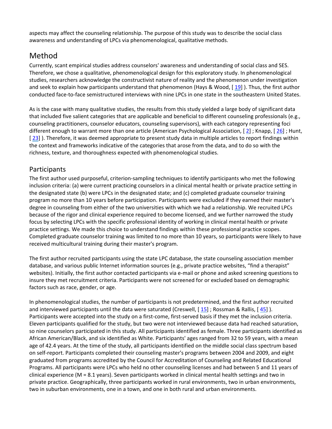aspects may affect the counseling relationship. The purpose of this study was to describe the social class awareness and understanding of LPCs via phenomenological, qualitative methods.

## Method

Currently, scant empirical studies address counselors' awareness and understanding of social class and SES. Therefore, we chose a qualitative, phenomenological design for this exploratory study. In phenomenological studies, researchers acknowledge the constructivist nature of reality and the phenomenon under investigation and seek to explain how participants understand that phenomenon (Hays & Wood, [[19\]](https://0-web-a-ebscohost-com.libus.csd.mu.edu/ehost/detail/detail?vid=5&sid=97acbd83-f855-4a65-80d9-761605a35b41%40sessionmgr4006&bdata=JnNpdGU9ZWhvc3QtbGl2ZQ%3d%3d#bib19)). Thus, the first author conducted face-to-face semistructured interviews with nine LPCs in one state in the southeastern United States.

As is the case with many qualitative studies, the results from this study yielded a large body of significant data that included five salient categories that are applicable and beneficial to different counseling professionals (e.g., counseling practitioners, counselor educators, counseling supervisors), with each category representing foci different enough to warrant more than one article (American Psychological Association, [[2\]](https://0-web-a-ebscohost-com.libus.csd.mu.edu/ehost/detail/detail?vid=5&sid=97acbd83-f855-4a65-80d9-761605a35b41%40sessionmgr4006&bdata=JnNpdGU9ZWhvc3QtbGl2ZQ%3d%3d#bib2); Knapp, [[26\]](https://0-web-a-ebscohost-com.libus.csd.mu.edu/ehost/detail/detail?vid=5&sid=97acbd83-f855-4a65-80d9-761605a35b41%40sessionmgr4006&bdata=JnNpdGU9ZWhvc3QtbGl2ZQ%3d%3d#bib26); Hunt, [ [23\]](https://0-web-a-ebscohost-com.libus.csd.mu.edu/ehost/detail/detail?vid=5&sid=97acbd83-f855-4a65-80d9-761605a35b41%40sessionmgr4006&bdata=JnNpdGU9ZWhvc3QtbGl2ZQ%3d%3d#bib23) ). Therefore, it was deemed appropriate to present study data in multiple articles to report findings within the context and frameworks indicative of the categories that arose from the data, and to do so with the richness, texture, and thoroughness expected with phenomenological studies.

#### Participants

The first author used purposeful, criterion-sampling techniques to identify participants who met the following inclusion criteria: (a) were current practicing counselors in a clinical mental health or private practice setting in the designated state (b) were LPCs in the designated state; and (c) completed graduate counselor training program no more than 10 years before participation. Participants were excluded if they earned their master's degree in counseling from either of the two universities with which we had a relationship. We recruited LPCs because of the rigor and clinical experience required to become licensed, and we further narrowed the study focus by selecting LPCs with the specific professional identity of working in clinical mental health or private practice settings. We made this choice to understand findings within these professional practice scopes. Completed graduate counselor training was limited to no more than 10 years, so participants were likely to have received multicultural training during their master's program.

The first author recruited participants using the state LPC database, the state counseling association member database, and various public Internet information sources (e.g., private practice websites, "find a therapist" websites). Initially, the first author contacted participants via e-mail or phone and asked screening questions to insure they met recruitment criteria. Participants were not screened for or excluded based on demographic factors such as race, gender, or age.

In phenomenological studies, the number of participants is not predetermined, and the first author recruited and interviewed participants until the data were saturated (Creswell,  $[15]$  $[15]$ ; Rossman & Rallis,  $[45]$  $[45]$ ). Participants were accepted into the study on a first-come, first-served basis if they met the inclusion criteria. Eleven participants qualified for the study, but two were not interviewed because data had reached saturation, so nine counselors participated in this study. All participants identified as female. Three participants identified as African American/Black, and six identified as White. Participants' ages ranged from 32 to 59 years, with a mean age of 42.4 years. At the time of the study, all participants identified on the middle social class spectrum based on self-report. Participants completed their counseling master's programs between 2004 and 2009, and eight graduated from programs accredited by the Council for Accreditation of Counseling and Related Educational Programs. All participants were LPCs who held no other counseling licenses and had between 5 and 11 years of clinical experience (M = 8.1 years). Seven participants worked in clinical mental health settings and two in private practice. Geographically, three participants worked in rural environments, two in urban environments, two in suburban environments, one in a town, and one in both rural and urban environments.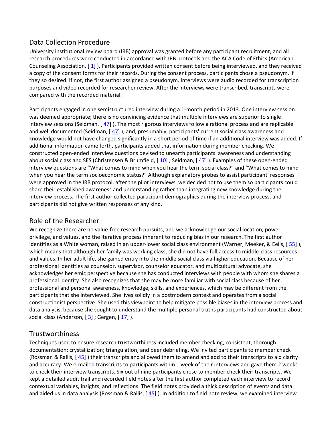#### Data Collection Procedure

University institutional review board (IRB) approval was granted before any participant recruitment, and all research procedures were conducted in accordance with IRB protocols and the ACA Code of Ethics (American Counseling Association,  $[\underline{1}]$ ). Participants provided written consent before being interviewed, and they received a copy of the consent forms for their records. During the consent process, participants chose a pseudonym, if they so desired. If not, the first author assigned a pseudonym. Interviews were audio recorded for transcription purposes and video recorded for researcher review. After the interviews were transcribed, transcripts were compared with the recorded material.

Participants engaged in one semistructured interview during a 1-month period in 2013. One interview session was deemed appropriate; there is no convincing evidence that multiple interviews are superior to single interview sessions (Seidman, [ [47\]](https://0-web-a-ebscohost-com.libus.csd.mu.edu/ehost/detail/detail?vid=5&sid=97acbd83-f855-4a65-80d9-761605a35b41%40sessionmgr4006&bdata=JnNpdGU9ZWhvc3QtbGl2ZQ%3d%3d#bib47) ). The most rigorous interviews follow a rational process and are replicable and well documented (Seidman,  $[47]$  $[47]$ ), and, presumably, participants' current social class awareness and knowledge would not have changed significantly in a short period of time if an additional interview was added. If additional information came forth, participants added that information during member checking. We constructed open-ended interview questions devised to unearth participants' awareness and understanding about social class and SES (Christensen & Brumfield,  $[10]$  $[10]$ ; Seidman,  $[47]$  $[47]$ ). Examples of these open-ended interview questions are "What comes to mind when you hear the term social class?" and "What comes to mind when you hear the term socioeconomic status?" Although explanatory probes to assist participant' responses were approved in the IRB protocol, after the pilot interviews, we decided not to use them so participants could share their established awareness and understanding rather than integrating new knowledge during the interview process. The first author collected participant demographics during the interview process, and participants did not give written responses of any kind.

#### Role of the Researcher

We recognize there are no value-free research pursuits, and we acknowledge our social location, power, privilege, and values, and the iterative process inherent to reducing bias in our research. The first author identifies as a White woman, raised in an upper-lower social class environment (Warner, Meeker, & Eells, [[55\]](https://0-web-a-ebscohost-com.libus.csd.mu.edu/ehost/detail/detail?vid=5&sid=97acbd83-f855-4a65-80d9-761605a35b41%40sessionmgr4006&bdata=JnNpdGU9ZWhvc3QtbGl2ZQ%3d%3d#bib55)), which means that although her family was working class, she did not have full access to middle-class resources and values. In her adult life, she gained entry into the middle social class via higher education. Because of her professional identities as counselor, supervisor, counselor educator, and multicultural advocate, she acknowledges her emic perspective because she has conducted interviews with people with whom she shares a professional identity. She also recognizes that she may be more familiar with social class because of her professional and personal awareness, knowledge, skills, and experiences, which may be different from the participants that she interviewed. She lives solidly in a postmodern context and operates from a social constructionist perspective. She used this viewpoint to help mitigate possible biases in the interview process and data analysis, because she sought to understand the multiple personal truths participants had constructed about social class (Anderson,  $[3]$  $[3]$ ; Gergen,  $[17]$  $[17]$ ).

#### Trustworthiness

Techniques used to ensure research trustworthiness included member checking; consistent, thorough documentation; crystallization; triangulation; and peer debriefing. We invited participants to member check (Rossman & Rallis,  $[45]$  $[45]$ ) their transcripts and allowed them to amend and add to their transcripts to aid clarity and accuracy. We e-mailed transcripts to participants within 1 week of their interviews and gave them 2 weeks to check their interview transcripts. Six out of nine participants chose to member check their transcripts. We kept a detailed audit trail and recorded field notes after the first author completed each interview to record contextual variables, insights, and reflections. The field notes provided a thick description of events and data and aided us in data analysis (Rossman & Rallis,  $[45]$  $[45]$ ). In addition to field note review, we examined interview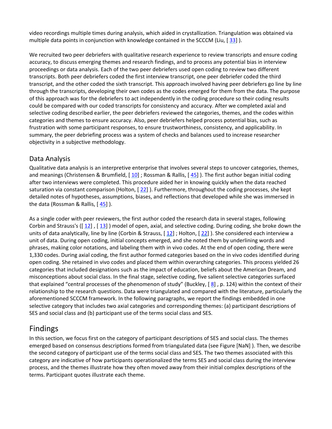video recordings multiple times during analysis, which aided in crystallization. Triangulation was obtained via multiple data points in conjunction with knowledge contained in the SCCCM (Liu, [[33\]](https://0-web-a-ebscohost-com.libus.csd.mu.edu/ehost/detail/detail?vid=5&sid=97acbd83-f855-4a65-80d9-761605a35b41%40sessionmgr4006&bdata=JnNpdGU9ZWhvc3QtbGl2ZQ%3d%3d#bib33)).

We recruited two peer debriefers with qualitative research experience to review transcripts and ensure coding accuracy, to discuss emerging themes and research findings, and to process any potential bias in interview proceedings or data analysis. Each of the two peer debriefers used open coding to review two different transcripts. Both peer debriefers coded the first interview transcript, one peer debriefer coded the third transcript, and the other coded the sixth transcript. This approach involved having peer debriefers go line by line through the transcripts, developing their own codes as the codes emerged for them from the data. The purpose of this approach was for the debriefers to act independently in the coding procedure so their coding results could be compared with our coded transcripts for consistency and accuracy. After we completed axial and selective coding described earlier, the peer debriefers reviewed the categories, themes, and the codes within categories and themes to ensure accuracy. Also, peer debriefers helped process potential bias, such as frustration with some participant responses, to ensure trustworthiness, consistency, and applicability. In summary, the peer debriefing process was a system of checks and balances used to increase researcher objectivity in a subjective methodology.

#### Data Analysis

Qualitative data analysis is an interpretive enterprise that involves several steps to uncover categories, themes, and meanings (Christensen & Brumfield,  $[10]$  $[10]$ ; Rossman & Rallis,  $[45]$  $[45]$ ). The first author began initial coding after two interviews were completed. This procedure aided her in knowing quickly when the data reached saturation via constant comparison (Holton, [[22\]](https://0-web-a-ebscohost-com.libus.csd.mu.edu/ehost/detail/detail?vid=5&sid=97acbd83-f855-4a65-80d9-761605a35b41%40sessionmgr4006&bdata=JnNpdGU9ZWhvc3QtbGl2ZQ%3d%3d#bib22) ). Furthermore, throughout the coding processes, she kept detailed notes of hypotheses, assumptions, biases, and reflections that developed while she was immersed in the data (Rossman & Rallis,  $[45]$  $[45]$ ).

As a single coder with peer reviewers, the first author coded the research data in several stages, following Corbin and Strauss's ( $\left[\frac{12}{15}\right]$ ,  $\left[\frac{13}{13}\right]$ ) model of open, axial, and selective coding. During coding, she broke down the units of data analytically, line by line (Corbin & Strauss,  $[12]$  $[12]$ ; Holton,  $[22]$  $[22]$ ). She considered each interview a unit of data. During open coding, initial concepts emerged, and she noted them by underlining words and phrases, making color notations, and labeling them with in vivo codes. At the end of open coding, there were 1,330 codes. During axial coding, the first author formed categories based on the in vivo codes identified during open coding. She retained in vivo codes and placed them within overarching categories. This process yielded 26 categories that included designations such as the impact of education, beliefs about the American Dream, and misconceptions about social class. In the final stage, selective coding, five salient selective categories surfaced that explained "central processes of the phenomenon of study" (Buckley, [ [8\]](https://0-web-a-ebscohost-com.libus.csd.mu.edu/ehost/detail/detail?vid=5&sid=97acbd83-f855-4a65-80d9-761605a35b41%40sessionmgr4006&bdata=JnNpdGU9ZWhvc3QtbGl2ZQ%3d%3d#bib8) , p. 124) within the context of their relationship to the research questions. Data were triangulated and compared with the literature, particularly the aforementioned SCCCM framework. In the following paragraphs, we report the findings embedded in one selective category that includes two axial categories and corresponding themes: (a) participant descriptions of SES and social class and (b) participant use of the terms social class and SES.

## Findings

In this section, we focus first on the category of participant descriptions of SES and social class. The themes emerged based on consensus descriptions formed from triangulated data (see Figure [NaN] ). Then, we describe the second category of participant use of the terms social class and SES. The two themes associated with this category are indicative of how participants operationalized the terms SES and social class during the interview process, and the themes illustrate how they often moved away from their initial complex descriptions of the terms. Participant quotes illustrate each theme.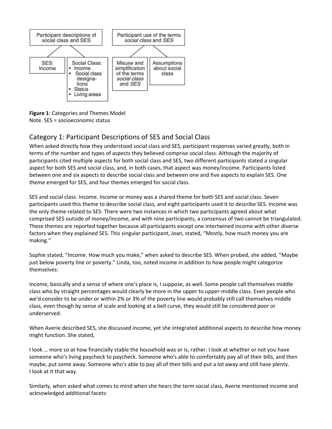

**Figure 1**: Categories and Themes Model Note. SES = socioeconomic status

#### Category 1: Participant Descriptions of SES and Social Class

When asked directly how they understood social class and SES, participant responses varied greatly, both in terms of the number and types of aspects they believed comprise social class. Although the majority of participants cited multiple aspects for both social class and SES, two different participants stated a singular aspect for both SES and social class, and, in both cases, that aspect was money/income. Participants listed between one and six aspects to describe social class and between one and five aspects to explain SES. One theme emerged for SES, and four themes emerged for social class.

SES and social class: Income. Income or money was a shared theme for both SES and social class. Seven participants used this theme to describe social class, and eight participants used it to describe SES. Income was the only theme related to SES: There were two instances in which two participants agreed about what comprised SES outside of money/income, and with nine participants, a consensus of two cannot be triangulated. These themes are reported together because all participants except one intertwined income with other diverse factors when they explained SES. This singular participant, Joan, stated, "Mostly, how much money you are making."

Sophie stated, "Income. How much you make," when asked to describe SES. When probed, she added, "Maybe just below poverty line or poverty." Linda, too, noted income in addition to how people might categorize themselves:

Income, basically and a sense of where one's place is, I suppose, as well. Some people call themselves middle class who by straight percentages would clearly be more in the upper to upper-middle class. Even people who we'd consider to be under or within 2% or 3% of the poverty line would probably still call themselves middle class, even though by sense of scale and looking at a bell curve, they would still be considered poor or underserved.

When Averie described SES, she discussed income, yet she integrated additional aspects to describe how money might function. She stated,

I look … more so at how financially stable the household was or is, rather. I look at whether or not you have someone who's living paycheck to paycheck. Someone who's able to comfortably pay all of their bills, and then maybe, put some away. Someone who's able to pay all of their bills and put a lot away and still have plenty. I look at it that way.

Similarly, when asked what comes to mind when she hears the term social class, Averie mentioned income and acknowledged additional facets: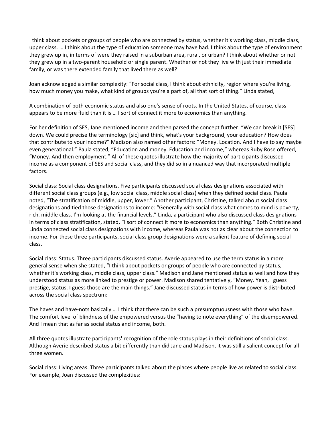I think about pockets or groups of people who are connected by status, whether it's working class, middle class, upper class. … I think about the type of education someone may have had. I think about the type of environment they grew up in, in terms of were they raised in a suburban area, rural, or urban? I think about whether or not they grew up in a two-parent household or single parent. Whether or not they live with just their immediate family, or was there extended family that lived there as well?

Joan acknowledged a similar complexity: "For social class, I think about ethnicity, region where you're living, how much money you make, what kind of groups you're a part of, all that sort of thing." Linda stated,

A combination of both economic status and also one's sense of roots. In the United States, of course, class appears to be more fluid than it is … I sort of connect it more to economics than anything.

For her definition of SES, Jane mentioned income and then parsed the concept further: "We can break it [SES] down. We could precise the terminology [sic] and think, what's your background, your education? How does that contribute to your income?" Madison also named other factors: "Money. Location. And I have to say maybe even generational." Paula stated, "Education and money. Education and income," whereas Ruby Rose offered, "Money. And then employment." All of these quotes illustrate how the majority of participants discussed income as a component of SES and social class, and they did so in a nuanced way that incorporated multiple factors.

Social class: Social class designations. Five participants discussed social class designations associated with different social class groups (e.g., low social class, middle social class) when they defined social class. Paula noted, "The stratification of middle, upper, lower." Another participant, Christine, talked about social class designations and tied those designations to income: "Generally with social class what comes to mind is poverty, rich, middle class. I'm looking at the financial levels." Linda, a participant who also discussed class designations in terms of class stratification, stated, "I sort of connect it more to economics than anything." Both Christine and Linda connected social class designations with income, whereas Paula was not as clear about the connection to income. For these three participants, social class group designations were a salient feature of defining social class.

Social class: Status. Three participants discussed status. Averie appeared to use the term status in a more general sense when she stated, "I think about pockets or groups of people who are connected by status, whether it's working class, middle class, upper class." Madison and Jane mentioned status as well and how they understood status as more linked to prestige or power. Madison shared tentatively, "Money. Yeah, I guess prestige, status. I guess those are the main things." Jane discussed status in terms of how power is distributed across the social class spectrum:

The haves and have-nots basically … I think that there can be such a presumptuousness with those who have. The comfort level of blindness of the empowered versus the "having to note everything" of the disempowered. And I mean that as far as social status and income, both.

All three quotes illustrate participants' recognition of the role status plays in their definitions of social class. Although Averie described status a bit differently than did Jane and Madison, it was still a salient concept for all three women.

Social class: Living areas. Three participants talked about the places where people live as related to social class. For example, Joan discussed the complexities: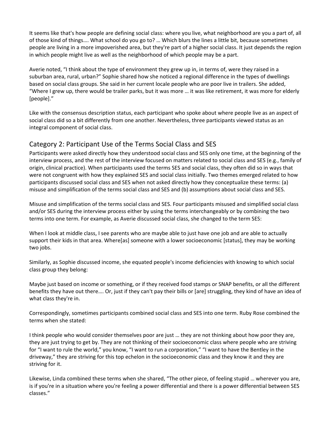It seems like that's how people are defining social class: where you live, what neighborhood are you a part of, all of those kind of things…. What school do you go to? … Which blurs the lines a little bit, because sometimes people are living in a more impoverished area, but they're part of a higher social class. It just depends the region in which people might live as well as the neighborhood of which people may be a part.

Averie noted, "I think about the type of environment they grew up in, in terms of, were they raised in a suburban area, rural, urban?" Sophie shared how she noticed a regional difference in the types of dwellings based on social class groups. She said in her current locale people who are poor live in trailers. She added, "Where I grew up, there would be trailer parks, but it was more … it was like retirement, it was more for elderly [people]."

Like with the consensus description status, each participant who spoke about where people live as an aspect of social class did so a bit differently from one another. Nevertheless, three participants viewed status as an integral component of social class.

#### Category 2: Participant Use of the Terms Social Class and SES

Participants were asked directly how they understood social class and SES only one time, at the beginning of the interview process, and the rest of the interview focused on matters related to social class and SES (e.g., family of origin, clinical practice). When participants used the terms SES and social class, they often did so in ways that were not congruent with how they explained SES and social class initially. Two themes emerged related to how participants discussed social class and SES when not asked directly how they conceptualize these terms: (a) misuse and simplification of the terms social class and SES and (b) assumptions about social class and SES.

Misuse and simplification of the terms social class and SES. Four participants misused and simplified social class and/or SES during the interview process either by using the terms interchangeably or by combining the two terms into one term. For example, as Averie discussed social class, she changed to the term SES:

When I look at middle class, I see parents who are maybe able to just have one job and are able to actually support their kids in that area. Where[as] someone with a lower socioeconomic [status], they may be working two jobs.

Similarly, as Sophie discussed income, she equated people's income deficiencies with knowing to which social class group they belong:

Maybe just based on income or something, or if they received food stamps or SNAP benefits, or all the different benefits they have out there…. Or, just if they can't pay their bills or [are] struggling, they kind of have an idea of what class they're in.

Correspondingly, sometimes participants combined social class and SES into one term. Ruby Rose combined the terms when she stated:

I think people who would consider themselves poor are just … they are not thinking about how poor they are, they are just trying to get by. They are not thinking of their socioeconomic class where people who are striving for "I want to rule the world," you know, "I want to run a corporation," "I want to have the Bentley in the driveway," they are striving for this top echelon in the socioeconomic class and they know it and they are striving for it.

Likewise, Linda combined these terms when she shared, "The other piece, of feeling stupid … wherever you are, is if you're in a situation where you're feeling a power differential and there is a power differential between SES classes."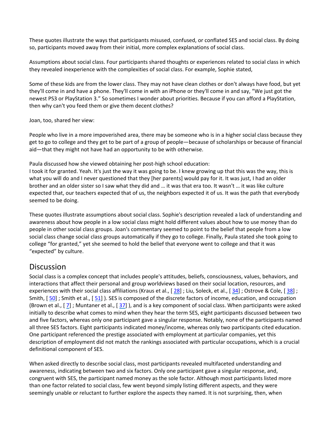These quotes illustrate the ways that participants misused, confused, or conflated SES and social class. By doing so, participants moved away from their initial, more complex explanations of social class.

Assumptions about social class. Four participants shared thoughts or experiences related to social class in which they revealed inexperience with the complexities of social class. For example, Sophie stated,

Some of these kids are from the lower class. They may not have clean clothes or don't always have food, but yet they'll come in and have a phone. They'll come in with an iPhone or they'll come in and say, "We just got the newest PS3 or PlayStation 3." So sometimes I wonder about priorities. Because if you can afford a PlayStation, then why can't you feed them or give them decent clothes?

Joan, too, shared her view:

People who live in a more impoverished area, there may be someone who is in a higher social class because they get to go to college and they get to be part of a group of people—because of scholarships or because of financial aid—that they might not have had an opportunity to be with otherwise.

Paula discussed how she viewed obtaining her post-high school education:

I took it for granted. Yeah. It's just the way it was going to be. I knew growing up that this was the way, this is what you will do and I never questioned that they [her parents] would pay for it. It was just, I had an older brother and an older sister so I saw what they did and … it was that era too. It wasn't … it was like culture expected that, our teachers expected that of us, the neighbors expected it of us. It was the path that everybody seemed to be doing.

These quotes illustrate assumptions about social class. Sophie's description revealed a lack of understanding and awareness about how people in a low social class might hold different values about how to use money than do people in other social class groups. Joan's commentary seemed to point to the belief that people from a low social class change social class groups automatically if they go to college. Finally, Paula stated she took going to college "for granted," yet she seemed to hold the belief that everyone went to college and that it was "expected" by culture.

#### **Discussion**

Social class is a complex concept that includes people's attitudes, beliefs, consciousness, values, behaviors, and interactions that affect their personal and group worldviews based on their social location, resources, and experiences with their social class affiliations (Kraus et al.,  $[28]$  $[28]$ ; Liu, Soleck, et al.,  $[34]$  $[34]$ ; Ostrove & Cole,  $[38]$  $[38]$ ; Smith,  $[50]$  $[50]$ ; Smith et al.,  $[51]$  $[51]$ ). SES is composed of the discrete factors of income, education, and occupation (Brown et al., [ [7\]](https://0-web-a-ebscohost-com.libus.csd.mu.edu/ehost/detail/detail?vid=5&sid=97acbd83-f855-4a65-80d9-761605a35b41%40sessionmgr4006&bdata=JnNpdGU9ZWhvc3QtbGl2ZQ%3d%3d#bib7) ; Muntaner et al., [ [37\]](https://0-web-a-ebscohost-com.libus.csd.mu.edu/ehost/detail/detail?vid=5&sid=97acbd83-f855-4a65-80d9-761605a35b41%40sessionmgr4006&bdata=JnNpdGU9ZWhvc3QtbGl2ZQ%3d%3d#bib37) ), and is a key component of social class. When participants were asked initially to describe what comes to mind when they hear the term SES, eight participants discussed between two and five factors, whereas only one participant gave a singular response. Notably, none of the participants named all three SES factors. Eight participants indicated money/income, whereas only two participants cited education. One participant referenced the prestige associated with employment at particular companies, yet this description of employment did not match the rankings associated with particular occupations, which is a crucial definitional component of SES.

When asked directly to describe social class, most participants revealed multifaceted understanding and awareness, indicating between two and six factors. Only one participant gave a singular response, and, congruent with SES, the participant named money as the sole factor. Although most participants listed more than one factor related to social class, few went beyond simply listing different aspects, and they were seemingly unable or reluctant to further explore the aspects they named. It is not surprising, then, when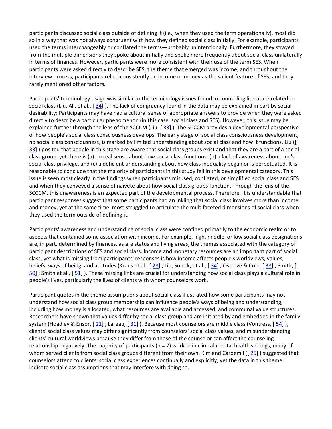participants discussed social class outside of defining it (i.e., when they used the term operationally), most did so in a way that was not always congruent with how they defined social class initially. For example, participants used the terms interchangeably or conflated the terms—probably unintentionally. Furthermore, they strayed from the multiple dimensions they spoke about initially and spoke more frequently about social class unilaterally in terms of finances. However, participants were more consistent with their use of the term SES. When participants were asked directly to describe SES, the theme that emerged was income, and throughout the interview process, participants relied consistently on income or money as the salient feature of SES, and they rarely mentioned other factors.

Participants' terminology usage was similar to the terminology issues found in counseling literature related to social class (Liu, Ali, et al.,  $[34]$  $[34]$ ). The lack of congruency found in the data may be explained in part by social desirability: Participants may have had a cultural sense of appropriate answers to provide when they were asked directly to describe a particular phenomenon (in this case, social class and SES). However, this issue may be explained further through the lens of the SCCCM (Liu, [[33\]](https://0-web-a-ebscohost-com.libus.csd.mu.edu/ehost/detail/detail?vid=5&sid=97acbd83-f855-4a65-80d9-761605a35b41%40sessionmgr4006&bdata=JnNpdGU9ZWhvc3QtbGl2ZQ%3d%3d#bib33)). The SCCCM provides a developmental perspective of how people's social class consciousness develops. The early stage of social class consciousness development, no social class consciousness, is marked by limited understanding about social class and how it functions. Liu ([ [33\]](https://0-web-a-ebscohost-com.libus.csd.mu.edu/ehost/detail/detail?vid=5&sid=97acbd83-f855-4a65-80d9-761605a35b41%40sessionmgr4006&bdata=JnNpdGU9ZWhvc3QtbGl2ZQ%3d%3d#bib33) ) posited that people in this stage are aware that social class groups exist and that they are a part of a social class group, yet there is (a) no real sense about how social class functions, (b) a lack of awareness about one's social class privilege, and (c) a deficient understanding about how class inequality began or is perpetuated. It is reasonable to conclude that the majority of participants in this study fell in this developmental category. This issue is seen most clearly in the findings when participants misused, conflated, or simplified social class and SES and when they conveyed a sense of naiveté about how social class groups function. Through the lens of the SCCCM, this unawareness is an expected part of the developmental process. Therefore, it is understandable that participant responses suggest that some participants had an inkling that social class involves more than income and money, yet at the same time, most struggled to articulate the multifaceted dimensions of social class when they used the term outside of defining it.

Participants' awareness and understanding of social class were confined primarily to the economic realm or to aspects that contained some association with income. For example, high, middle, or low social class designations are, in part, determined by finances, as are status and living areas, the themes associated with the category of participant descriptions of SES and social class. Income and monetary resources are an important part of social class, yet what is missing from participants' responses is how income affects people's worldviews, values, beliefs, ways of being, and attitudes (Kraus et al., [[28\]](https://0-web-a-ebscohost-com.libus.csd.mu.edu/ehost/detail/detail?vid=5&sid=97acbd83-f855-4a65-80d9-761605a35b41%40sessionmgr4006&bdata=JnNpdGU9ZWhvc3QtbGl2ZQ%3d%3d#bib28); Liu, Soleck, et al., [[34\]](https://0-web-a-ebscohost-com.libus.csd.mu.edu/ehost/detail/detail?vid=5&sid=97acbd83-f855-4a65-80d9-761605a35b41%40sessionmgr4006&bdata=JnNpdGU9ZWhvc3QtbGl2ZQ%3d%3d#bib34); Ostrove & Cole, [[38\]](https://0-web-a-ebscohost-com.libus.csd.mu.edu/ehost/detail/detail?vid=5&sid=97acbd83-f855-4a65-80d9-761605a35b41%40sessionmgr4006&bdata=JnNpdGU9ZWhvc3QtbGl2ZQ%3d%3d#bib38); Smith, [ [50\]](https://0-web-a-ebscohost-com.libus.csd.mu.edu/ehost/detail/detail?vid=5&sid=97acbd83-f855-4a65-80d9-761605a35b41%40sessionmgr4006&bdata=JnNpdGU9ZWhvc3QtbGl2ZQ%3d%3d#bib50) ; Smith et al., [ [51\]](https://0-web-a-ebscohost-com.libus.csd.mu.edu/ehost/detail/detail?vid=5&sid=97acbd83-f855-4a65-80d9-761605a35b41%40sessionmgr4006&bdata=JnNpdGU9ZWhvc3QtbGl2ZQ%3d%3d#bib51) ). These missing links are crucial for understanding how social class plays a cultural role in people's lives, particularly the lives of clients with whom counselors work.

Participant quotes in the theme assumptions about social class illustrated how some participants may not understand how social class group membership can influence people's ways of being and understanding, including how money is allocated, what resources are available and accessed, and communal value structures. Researchers have shown that values differ by social class group and are initiated by and embedded in the family system (Hoadley & Ensor, [[21\]](https://0-web-a-ebscohost-com.libus.csd.mu.edu/ehost/detail/detail?vid=5&sid=97acbd83-f855-4a65-80d9-761605a35b41%40sessionmgr4006&bdata=JnNpdGU9ZWhvc3QtbGl2ZQ%3d%3d#bib21); Lareau, [[31\]](https://0-web-a-ebscohost-com.libus.csd.mu.edu/ehost/detail/detail?vid=5&sid=97acbd83-f855-4a65-80d9-761605a35b41%40sessionmgr4006&bdata=JnNpdGU9ZWhvc3QtbGl2ZQ%3d%3d#bib31)). Because most counselors are middle class (Vontress, [[54\]](https://0-web-a-ebscohost-com.libus.csd.mu.edu/ehost/detail/detail?vid=5&sid=97acbd83-f855-4a65-80d9-761605a35b41%40sessionmgr4006&bdata=JnNpdGU9ZWhvc3QtbGl2ZQ%3d%3d#bib54)), clients' social class values may differ significantly from counselors' social class values, and misunderstanding clients' cultural worldviews because they differ from those of the counselor can affect the counseling relationship negatively. The majority of participants (n = 7) worked in clinical mental health settings, many of whom served clients from social class groups different from their own. Kim and Cardemil ( $\left[\frac{25}{2}\right]$ ) suggested that counselors attend to clients' social class experiences continually and explicitly, yet the data in this theme indicate social class assumptions that may interfere with doing so.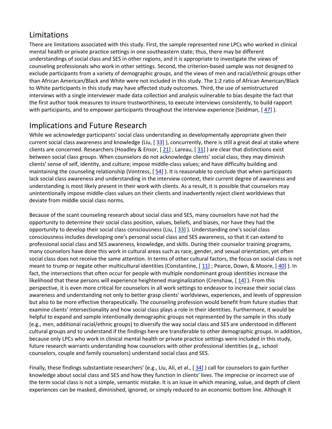## Limitations

There are limitations associated with this study. First, the sample represented nine LPCs who worked in clinical mental health or private practice settings in one southeastern state; thus, there may be different understandings of social class and SES in other regions, and it is appropriate to investigate the views of counseling professionals who work in other settings. Second, the criterion-based sample was not designed to exclude participants from a variety of demographic groups, and the views of men and racial/ethnic groups other than African American/Black and White were not included in this study. The 1:2 ratio of African American/Black to White participants in this study may have affected study outcomes. Third, the use of semistructured interviews with a single interviewer made data collection and analysis vulnerable to bias despite the fact that the first author took measures to insure trustworthiness, to execute interviews consistently, to build rapport with participants, and to empower participants throughout the interview experience (Seidman, [[47\]](https://0-web-a-ebscohost-com.libus.csd.mu.edu/ehost/detail/detail?vid=5&sid=97acbd83-f855-4a65-80d9-761605a35b41%40sessionmgr4006&bdata=JnNpdGU9ZWhvc3QtbGl2ZQ%3d%3d#bib47)).

## Implications and Future Research

While we acknowledge participants' social class understanding as developmentally appropriate given their current social class awareness and knowledge (Liu, [ [33\]](https://0-web-a-ebscohost-com.libus.csd.mu.edu/ehost/detail/detail?vid=5&sid=97acbd83-f855-4a65-80d9-761605a35b41%40sessionmgr4006&bdata=JnNpdGU9ZWhvc3QtbGl2ZQ%3d%3d#bib33) ), concurrently, there is still a great deal at stake where clients are concerned. Researchers (Hoadley & Ensor, [ [21\]](https://0-web-a-ebscohost-com.libus.csd.mu.edu/ehost/detail/detail?vid=5&sid=97acbd83-f855-4a65-80d9-761605a35b41%40sessionmgr4006&bdata=JnNpdGU9ZWhvc3QtbGl2ZQ%3d%3d#bib21) ; Lareau, [ [31\]](https://0-web-a-ebscohost-com.libus.csd.mu.edu/ehost/detail/detail?vid=5&sid=97acbd83-f855-4a65-80d9-761605a35b41%40sessionmgr4006&bdata=JnNpdGU9ZWhvc3QtbGl2ZQ%3d%3d#bib31) ) are clear that distinctions exist between social class groups. When counselors do not acknowledge clients' social class, they may diminish clients' sense of self, identity, and culture; impose middle-class values; and have difficulty building and maintaining the counseling relationship (Vontress,  $[54]$  $[54]$ ). It is reasonable to conclude that when participants lack social class awareness and understanding in the interview context, their current degree of awareness and understanding is most likely present in their work with clients. As a result, it is possible that counselors may unintentionally impose middle-class values on their clients and inadvertently reject client worldviews that deviate from middle social class norms.

Because of the scant counseling research about social class and SES, many counselors have not had the opportunity to determine their social class position, values, beliefs, and biases, nor have they had the opportunity to develop their social class consciousness (Liu,  $[33]$  $[33]$ ). Understanding one's social class consciousness includes developing one's personal social class and SES awareness, so that it can extend to professional social class and SES awareness, knowledge, and skills. During their counselor training programs, many counselors have done this work in cultural areas such as race, gender, and sexual orientation, yet often social class does not receive the same attention. In terms of other cultural factors, the focus on social class is not meant to trump or negate other multicultural identities (Constantine,  $[11]$  $[11]$ ; Pearce, Down, & Moore,  $[40]$  $[40]$ ). In fact, the intersections that often occur for people with multiple nondominant group identities increase the likelihood that these persons will experience heightened marginalization (Crenshaw, [ [14\]](https://0-web-a-ebscohost-com.libus.csd.mu.edu/ehost/detail/detail?vid=5&sid=97acbd83-f855-4a65-80d9-761605a35b41%40sessionmgr4006&bdata=JnNpdGU9ZWhvc3QtbGl2ZQ%3d%3d#bib14) ). From this perspective, it is even more critical for counselors in all work settings to endeavor to increase their social class awareness and understanding not only to better grasp clients' worldviews, experiences, and levels of oppression but also to be more effective therapeutically. The counseling profession would benefit from future studies that examine clients' intersectionality and how social class plays a role in their identities. Furthermore, it would be helpful to expand and sample intentionally demographic groups not represented by the sample in this study (e.g., men, additional racial/ethnic groups) to diversify the way social class and SES are understood in different cultural groups and to understand if the findings here are transferable to other demographic groups. In addition, because only LPCs who work in clinical mental health or private practice settings were included in this study, future research warrants understanding how counselors with other professional identities (e.g., school counselors, couple and family counselors) understand social class and SES.

Finally, these findings substantiate researchers' (e.g., Liu, Ali, et al., [ [34\]](https://0-web-a-ebscohost-com.libus.csd.mu.edu/ehost/detail/detail?vid=5&sid=97acbd83-f855-4a65-80d9-761605a35b41%40sessionmgr4006&bdata=JnNpdGU9ZWhvc3QtbGl2ZQ%3d%3d#bib34) ) call for counselors to gain further knowledge about social class and SES and how they function in clients' lives. The imprecise or incorrect use of the term social class is not a simple, semantic mistake. It is an issue in which meaning, value, and depth of client experiences can be masked, diminished, ignored, or simply reduced to an economic bottom line. Although it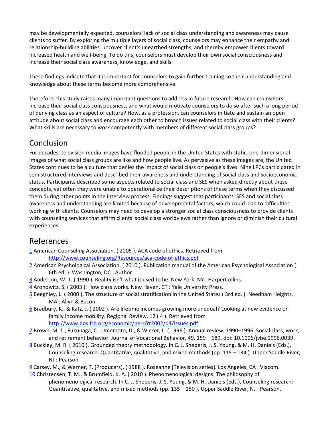may be developmentally expected, counselors' lack of social class understanding and awareness may cause clients to suffer. By exploring the multiple layers of social class, counselors may enhance their empathy and relationship-building abilities, uncover client's unearthed strengths, and thereby empower clients toward increased health and well-being. To do this, counselors must develop their own social consciousness and increase their social class awareness, knowledge, and skills.

These findings indicate that it is important for counselors to gain further training so their understanding and knowledge about these terms become more comprehensive.

Therefore, this study raises many important questions to address in future research: How can counselors increase their social class consciousness, and what would motivate counselors to do so after such a long period of denying class as an aspect of culture? How, as a profession, can counselors initiate and sustain an open attitude about social class and encourage each other to broach issues related to social class with their clients? What skills are necessary to work competently with members of different social class groups?

## Conclusion

For decades, television media images have flooded people in the United States with static, one-dimensional images of what social class groups are like and how people live. As pervasive as these images are, the United States continues to be a culture that denies the impact of social class on people's lives. Nine LPCs participated in semistructured interviews and described their awareness and understanding of social class and socioeconomic status. Participants described some aspects related to social class and SES when asked directly about these concepts, yet often they were unable to operationalize their descriptions of these terms when they discussed them during other points in the interview process. Findings suggest that participants' SES and social class awareness and understanding are limited because of developmental factors, which could lead to difficulties working with clients. Counselors may need to develop a stronger social class consciousness to provide clients with counseling services that affirm clients' social class worldviews rather than ignore or diminish their cultural experiences.

## References

- [1](https://0-web-a-ebscohost-com.libus.csd.mu.edu/ehost/detail/detail?vid=5&sid=97acbd83-f855-4a65-80d9-761605a35b41%40sessionmgr4006&bdata=JnNpdGU9ZWhvc3QtbGl2ZQ%3d%3d#bib1up) American Counseling Association. ( 2005 ). ACA code of ethics. Retrieved from <http://www.counseling.org/Resources/aca-code-of-ethics.pdf>
- [2](https://0-web-a-ebscohost-com.libus.csd.mu.edu/ehost/detail/detail?vid=5&sid=97acbd83-f855-4a65-80d9-761605a35b41%40sessionmgr4006&bdata=JnNpdGU9ZWhvc3QtbGl2ZQ%3d%3d#bib2up) American Psychological Association. ( 2010 ). Publication manual of the American Psychological Association ( 6th ed. ). Washington, DC : Author.
- [3](https://0-web-a-ebscohost-com.libus.csd.mu.edu/ehost/detail/detail?vid=5&sid=97acbd83-f855-4a65-80d9-761605a35b41%40sessionmgr4006&bdata=JnNpdGU9ZWhvc3QtbGl2ZQ%3d%3d#bib3up) Anderson, W. T. ( 1990 ). Reality isn't what it used to be. New York, NY : HarperCollins.
- [4](https://0-web-a-ebscohost-com.libus.csd.mu.edu/ehost/detail/detail?vid=5&sid=97acbd83-f855-4a65-80d9-761605a35b41%40sessionmgr4006&bdata=JnNpdGU9ZWhvc3QtbGl2ZQ%3d%3d#bib4up) Aronowitz, S. ( 2003 ). How class works. New Haven, CT : Yale University Press.
- [5](https://0-web-a-ebscohost-com.libus.csd.mu.edu/ehost/detail/detail?vid=5&sid=97acbd83-f855-4a65-80d9-761605a35b41%40sessionmgr4006&bdata=JnNpdGU9ZWhvc3QtbGl2ZQ%3d%3d#bib5up) Beeghley, L. ( 2000 ). The structure of social stratification in the United States ( 3rd ed. ). Needham Heights, MA : Allyn & Bacon.
- [6](https://0-web-a-ebscohost-com.libus.csd.mu.edu/ehost/detail/detail?vid=5&sid=97acbd83-f855-4a65-80d9-761605a35b41%40sessionmgr4006&bdata=JnNpdGU9ZWhvc3QtbGl2ZQ%3d%3d#bib6up) Bradbury, K., & Katz, J. ( 2002 ). Are lifetime incomes growing more unequal? Looking at new evidence on family income mobility. Regional Review, 12 ( 4 ). Retrieved from <http://www.bos.frb.org/economic/nerr/rr2002/q4/issues.pdf>
- [7](https://0-web-a-ebscohost-com.libus.csd.mu.edu/ehost/detail/detail?vid=5&sid=97acbd83-f855-4a65-80d9-761605a35b41%40sessionmgr4006&bdata=JnNpdGU9ZWhvc3QtbGl2ZQ%3d%3d#bib7up) Brown, M. T., Fukunaga, C., Umemoto, D., & Wicker, L. ( 1996 ). Annual review, 1990–1996: Social class, work, and retirement behavior. Journal of Vocational Behavior, 49, 159 – 189. doi: 10.1006/jvbe.1996.0039
- [8](https://0-web-a-ebscohost-com.libus.csd.mu.edu/ehost/detail/detail?vid=5&sid=97acbd83-f855-4a65-80d9-761605a35b41%40sessionmgr4006&bdata=JnNpdGU9ZWhvc3QtbGl2ZQ%3d%3d#bib8up) Buckley, M. R. ( 2010 ). Grounded theory methodology. In C. J. Sheperis, J. S. Young, & M. H. Daniels (Eds.), Counseling research: Quantitative, qualitative, and mixed methods (pp. 115 – 134 ). Upper Saddle River, NJ : Pearson.
- [9](https://0-web-a-ebscohost-com.libus.csd.mu.edu/ehost/detail/detail?vid=5&sid=97acbd83-f855-4a65-80d9-761605a35b41%40sessionmgr4006&bdata=JnNpdGU9ZWhvc3QtbGl2ZQ%3d%3d#bib9up) Carsey, M., & Werner, T. (Producers). ( 1988 ). Roseanne [Television series]. Los Angeles, CA : Viacom.
- [10](https://0-web-a-ebscohost-com.libus.csd.mu.edu/ehost/detail/detail?vid=5&sid=97acbd83-f855-4a65-80d9-761605a35b41%40sessionmgr4006&bdata=JnNpdGU9ZWhvc3QtbGl2ZQ%3d%3d#bib10up) Christensen, T. M., & Brumfield, K. A. ( 2010 ). Phenomenological designs: The philosophy of phenomenological research. In C. J. Sheperis, J. S. Young, & M. H. Daniels (Eds.), Counseling research: Quantitative, qualitative, and mixed methods (pp. 135 – 150 ). Upper Saddle River, NJ : Pearson.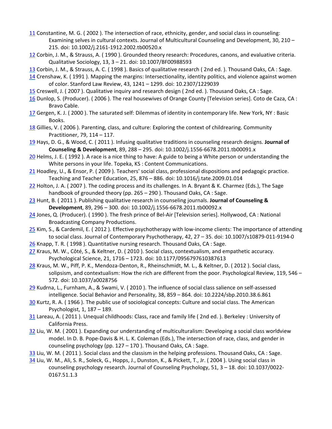- [11](https://0-web-a-ebscohost-com.libus.csd.mu.edu/ehost/detail/detail?vid=5&sid=97acbd83-f855-4a65-80d9-761605a35b41%40sessionmgr4006&bdata=JnNpdGU9ZWhvc3QtbGl2ZQ%3d%3d#bib11up) Constantine, M. G. ( 2002 ). The intersection of race, ethnicity, gender, and social class in counseling: Examining selves in cultural contexts. Journal of Multicultural Counseling and Development, 30, 210 – 215. doi: 10.1002/j.2161-1912.2002.tb00520.x
- [12](https://0-web-a-ebscohost-com.libus.csd.mu.edu/ehost/detail/detail?vid=5&sid=97acbd83-f855-4a65-80d9-761605a35b41%40sessionmgr4006&bdata=JnNpdGU9ZWhvc3QtbGl2ZQ%3d%3d#bib12up) Corbin, J. M., & Strauss, A. ( 1990 ). Grounded theory research: Procedures, canons, and evaluative criteria. Qualitative Sociology, 13, 3 – 21. doi: 10.1007/BF00988593
- [13](https://0-web-a-ebscohost-com.libus.csd.mu.edu/ehost/detail/detail?vid=5&sid=97acbd83-f855-4a65-80d9-761605a35b41%40sessionmgr4006&bdata=JnNpdGU9ZWhvc3QtbGl2ZQ%3d%3d#bib13up) Corbin, J. M., & Strauss, A. C. ( 1998 ). Basics of qualitative research ( 2nd ed. ). Thousand Oaks, CA : Sage.
- [14](https://0-web-a-ebscohost-com.libus.csd.mu.edu/ehost/detail/detail?vid=5&sid=97acbd83-f855-4a65-80d9-761605a35b41%40sessionmgr4006&bdata=JnNpdGU9ZWhvc3QtbGl2ZQ%3d%3d#bib14up) Crenshaw, K. ( 1991 ). Mapping the margins: Intersectionality, identity politics, and violence against women of color. Stanford Law Review, 43, 1241 – 1299. doi: 10.2307/1229039
- [15](https://0-web-a-ebscohost-com.libus.csd.mu.edu/ehost/detail/detail?vid=5&sid=97acbd83-f855-4a65-80d9-761605a35b41%40sessionmgr4006&bdata=JnNpdGU9ZWhvc3QtbGl2ZQ%3d%3d#bib15up) Creswell, J. ( 2007 ). Qualitative inquiry and research design ( 2nd ed. ). Thousand Oaks, CA : Sage.
- [16](https://0-web-a-ebscohost-com.libus.csd.mu.edu/ehost/detail/detail?vid=5&sid=97acbd83-f855-4a65-80d9-761605a35b41%40sessionmgr4006&bdata=JnNpdGU9ZWhvc3QtbGl2ZQ%3d%3d#bib16up) Dunlop, S. (Producer). ( 2006 ). The real housewives of Orange County [Television series]. Coto de Caza, CA : Bravo Cable.
- [17](https://0-web-a-ebscohost-com.libus.csd.mu.edu/ehost/detail/detail?vid=5&sid=97acbd83-f855-4a65-80d9-761605a35b41%40sessionmgr4006&bdata=JnNpdGU9ZWhvc3QtbGl2ZQ%3d%3d#bib17up) Gergen, K. J. ( 2000 ). The saturated self: Dilemmas of identity in contemporary life. New York, NY : Basic Books.
- [18](https://0-web-a-ebscohost-com.libus.csd.mu.edu/ehost/detail/detail?vid=5&sid=97acbd83-f855-4a65-80d9-761605a35b41%40sessionmgr4006&bdata=JnNpdGU9ZWhvc3QtbGl2ZQ%3d%3d#bib18up) Gillies, V. ( 2006 ). Parenting, class, and culture: Exploring the context of childrearing. Community Practitioner, 79, 114 – 117.
- [19](https://0-web-a-ebscohost-com.libus.csd.mu.edu/ehost/detail/detail?vid=5&sid=97acbd83-f855-4a65-80d9-761605a35b41%40sessionmgr4006&bdata=JnNpdGU9ZWhvc3QtbGl2ZQ%3d%3d#bib19up) Hays, D. G., & Wood, C. ( 2011 ). Infusing qualitative traditions in counseling research designs. **Journal of Counseling & Development**, 89, 288 – 295. doi: 10.1002/j.1556-6678.2011.tb00091.x
- [20](https://0-web-a-ebscohost-com.libus.csd.mu.edu/ehost/detail/detail?vid=5&sid=97acbd83-f855-4a65-80d9-761605a35b41%40sessionmgr4006&bdata=JnNpdGU9ZWhvc3QtbGl2ZQ%3d%3d#bib20up) Helms, J. E. ( 1992 ). A race is a nice thing to have: A guide to being a White person or understanding the White persons in your life. Topeka, KS : Content Communications.
- [21](https://0-web-a-ebscohost-com.libus.csd.mu.edu/ehost/detail/detail?vid=5&sid=97acbd83-f855-4a65-80d9-761605a35b41%40sessionmgr4006&bdata=JnNpdGU9ZWhvc3QtbGl2ZQ%3d%3d#bib21up) Hoadley, U., & Ensor, P. ( 2009 ). Teachers' social class, professional dispositions and pedagogic practice. Teaching and Teacher Education, 25, 876 – 886. doi: 10.1016/j.tate.2009.01.014
- [22](https://0-web-a-ebscohost-com.libus.csd.mu.edu/ehost/detail/detail?vid=5&sid=97acbd83-f855-4a65-80d9-761605a35b41%40sessionmgr4006&bdata=JnNpdGU9ZWhvc3QtbGl2ZQ%3d%3d#bib22up) Holton, J. A. ( 2007 ). The coding process and its challenges. In A. Bryant & K. Charmez (Eds.), The Sage handbook of grounded theory (pp. 265 – 290 ). Thousand Oaks, CA : Sage.
- [23](https://0-web-a-ebscohost-com.libus.csd.mu.edu/ehost/detail/detail?vid=5&sid=97acbd83-f855-4a65-80d9-761605a35b41%40sessionmgr4006&bdata=JnNpdGU9ZWhvc3QtbGl2ZQ%3d%3d#bib23up) Hunt, B. ( 2011 ). Publishing qualitative research in counseling journals. **Journal of Counseling & Development**, 89, 296 – 300. doi: 10.1002/j.1556-6678.2011.tb00092.x
- [24](https://0-web-a-ebscohost-com.libus.csd.mu.edu/ehost/detail/detail?vid=5&sid=97acbd83-f855-4a65-80d9-761605a35b41%40sessionmgr4006&bdata=JnNpdGU9ZWhvc3QtbGl2ZQ%3d%3d#bib24up) Jones, Q. (Producer). ( 1990 ). The fresh prince of Bel-Air [Television series]. Hollywood, CA : National Broadcasting Company Productions.
- [25](https://0-web-a-ebscohost-com.libus.csd.mu.edu/ehost/detail/detail?vid=5&sid=97acbd83-f855-4a65-80d9-761605a35b41%40sessionmgr4006&bdata=JnNpdGU9ZWhvc3QtbGl2ZQ%3d%3d#bib25up) Kim, S., & Cardemil, E. ( 2012 ). Effective psychotherapy with low-income clients: The importance of attending to social class. Journal of Contemporary Psychotherapy, 42, 27 – 35. doi: 10.1007/s10879-011-9194-0
- [26](https://0-web-a-ebscohost-com.libus.csd.mu.edu/ehost/detail/detail?vid=5&sid=97acbd83-f855-4a65-80d9-761605a35b41%40sessionmgr4006&bdata=JnNpdGU9ZWhvc3QtbGl2ZQ%3d%3d#bib26up) Knapp, T. R. ( 1998 ). Quantitative nursing research. Thousand Oaks, CA : Sage.
- [27](https://0-web-a-ebscohost-com.libus.csd.mu.edu/ehost/detail/detail?vid=5&sid=97acbd83-f855-4a65-80d9-761605a35b41%40sessionmgr4006&bdata=JnNpdGU9ZWhvc3QtbGl2ZQ%3d%3d#bib27up) Kraus, M. W., Côté, S., & Keltner, D. ( 2010 ). Social class, contextualism, and empathetic accuracy. Psychological Science, 21, 1716 – 1723. doi: 10.1177/0956797610387613
- [28](https://0-web-a-ebscohost-com.libus.csd.mu.edu/ehost/detail/detail?vid=5&sid=97acbd83-f855-4a65-80d9-761605a35b41%40sessionmgr4006&bdata=JnNpdGU9ZWhvc3QtbGl2ZQ%3d%3d#bib28up) Kraus, M. W., Piff, P. K., Mendoza-Denton, R., Rheinschmidt, M. L., & Keltner, D. ( 2012 ). Social class, solipsism, and contextualism: How the rich are different from the poor. Psychological Review, 119, 546 – 572. doi: 10.1037/a0028756
- [29](https://0-web-a-ebscohost-com.libus.csd.mu.edu/ehost/detail/detail?vid=5&sid=97acbd83-f855-4a65-80d9-761605a35b41%40sessionmgr4006&bdata=JnNpdGU9ZWhvc3QtbGl2ZQ%3d%3d#bib29up) Kudrna, L., Furnham, A., & Swami, V. ( 2010 ). The influence of social class salience on self-assessed intelligence. Social Behavior and Personality, 38, 859 – 864. doi: 10.2224/sbp.2010.38.6.861
- [30](https://0-web-a-ebscohost-com.libus.csd.mu.edu/ehost/detail/detail?vid=5&sid=97acbd83-f855-4a65-80d9-761605a35b41%40sessionmgr4006&bdata=JnNpdGU9ZWhvc3QtbGl2ZQ%3d%3d#bib30up) Kurtz, R. A. ( 1966 ). The public use of sociological concepts: Culture and social class. The American Psychologist, 1, 187 – 189.
- [31](https://0-web-a-ebscohost-com.libus.csd.mu.edu/ehost/detail/detail?vid=5&sid=97acbd83-f855-4a65-80d9-761605a35b41%40sessionmgr4006&bdata=JnNpdGU9ZWhvc3QtbGl2ZQ%3d%3d#bib31up) Lareau, A. ( 2011 ). Unequal childhoods: Class, race and family life ( 2nd ed. ). Berkeley : University of California Press.
- [32](https://0-web-a-ebscohost-com.libus.csd.mu.edu/ehost/detail/detail?vid=5&sid=97acbd83-f855-4a65-80d9-761605a35b41%40sessionmgr4006&bdata=JnNpdGU9ZWhvc3QtbGl2ZQ%3d%3d#bib32up) Liu, W. M. ( 2001 ). Expanding our understanding of multiculturalism: Developing a social class worldview model. In D. B. Pope-Davis & H. L. K. Coleman (Eds.), The intersection of race, class, and gender in counseling psychology (pp. 127 – 170 ). Thousand Oaks, CA : Sage.
- [33](https://0-web-a-ebscohost-com.libus.csd.mu.edu/ehost/detail/detail?vid=5&sid=97acbd83-f855-4a65-80d9-761605a35b41%40sessionmgr4006&bdata=JnNpdGU9ZWhvc3QtbGl2ZQ%3d%3d#bib33up) Liu, W. M. ( 2011 ). Social class and the classism in the helping professions. Thousand Oaks, CA : Sage.
- [34](https://0-web-a-ebscohost-com.libus.csd.mu.edu/ehost/detail/detail?vid=5&sid=97acbd83-f855-4a65-80d9-761605a35b41%40sessionmgr4006&bdata=JnNpdGU9ZWhvc3QtbGl2ZQ%3d%3d#bib34up) Liu, W. M., Ali, S. R., Soleck, G., Hopps, J., Dunston, K., & Pickett, T., Jr. ( 2004 ). Using social class in counseling psychology research. Journal of Counseling Psychology, 51, 3 – 18. doi: 10.1037/0022- 0167.51.1.3